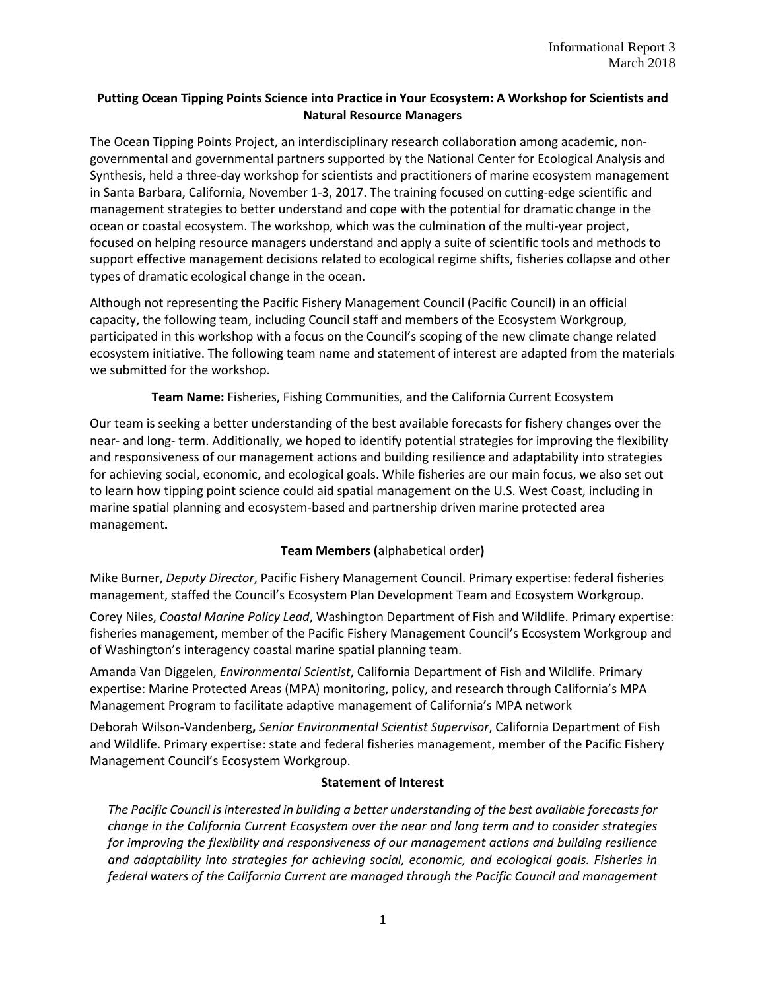## **Putting Ocean Tipping Points Science into Practice in Your Ecosystem: A Workshop for Scientists and Natural Resource Managers**

The Ocean Tipping Points Project, an interdisciplinary research collaboration among academic, nongovernmental and governmental partners supported by the National Center for Ecological Analysis and Synthesis, held a three-day workshop for scientists and practitioners of marine ecosystem management in Santa Barbara, California, November 1-3, 2017. The training focused on cutting-edge scientific and management strategies to better understand and cope with the potential for dramatic change in the ocean or coastal ecosystem. The workshop, which was the culmination of the multi-year project, focused on helping resource managers understand and apply a suite of scientific tools and methods to support effective management decisions related to ecological regime shifts, fisheries collapse and other types of dramatic ecological change in the ocean.

Although not representing the Pacific Fishery Management Council (Pacific Council) in an official capacity, the following team, including Council staff and members of the Ecosystem Workgroup, participated in this workshop with a focus on the Council's scoping of the new climate change related ecosystem initiative. The following team name and statement of interest are adapted from the materials we submitted for the workshop.

### **Team Name:** Fisheries, Fishing Communities, and the California Current Ecosystem

Our team is seeking a better understanding of the best available forecasts for fishery changes over the near- and long- term. Additionally, we hoped to identify potential strategies for improving the flexibility and responsiveness of our management actions and building resilience and adaptability into strategies for achieving social, economic, and ecological goals. While fisheries are our main focus, we also set out to learn how tipping point science could aid spatial management on the U.S. West Coast, including in marine spatial planning and ecosystem-based and partnership driven marine protected area management**.**

# **Team Members (**alphabetical order**)**

Mike Burner, *Deputy Director*, Pacific Fishery Management Council. Primary expertise: federal fisheries management, staffed the Council's Ecosystem Plan Development Team and Ecosystem Workgroup.

Corey Niles, *Coastal Marine Policy Lead*, Washington Department of Fish and Wildlife. Primary expertise: fisheries management, member of the Pacific Fishery Management Council's Ecosystem Workgroup and of Washington's interagency coastal marine spatial planning team.

Amanda Van Diggelen, *Environmental Scientist*, California Department of Fish and Wildlife. Primary expertise: Marine Protected Areas (MPA) monitoring, policy, and research through California's MPA Management Program to facilitate adaptive management of California's MPA network

Deborah Wilson-Vandenberg**,** *Senior Environmental Scientist Supervisor*, California Department of Fish and Wildlife. Primary expertise: state and federal fisheries management, member of the Pacific Fishery Management Council's Ecosystem Workgroup.

### **Statement of Interest**

*The Pacific Council is interested in building a better understanding of the best available forecasts for change in the California Current Ecosystem over the near and long term and to consider strategies for improving the flexibility and responsiveness of our management actions and building resilience and adaptability into strategies for achieving social, economic, and ecological goals. Fisheries in federal waters of the California Current are managed through the Pacific Council and management*